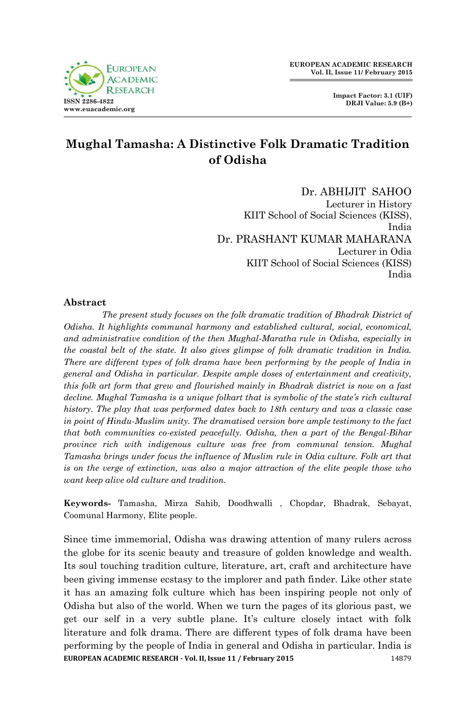

# **Mughal Tamasha: A Distinctive Folk Dramatic Tradition of Odisha**

Dr. ABHIJIT SAHOO

Lecturer in History KIIT School of Social Sciences (KISS), India Dr. PRASHANT KUMAR MAHARANA Lecturer in Odia KIIT School of Social Sciences (KISS) India

### **Abstract**

*The present study focuses on the folk dramatic tradition of Bhadrak District of Odisha. It highlights communal harmony and established cultural, social, economical, and administrative condition of the then Mughal-Maratha rule in Odisha, especially in the coastal belt of the state. It also gives glimpse of folk dramatic tradition in India. There are different types of folk drama have been performing by the people of India in general and Odisha in particular. Despite ample doses of entertainment and creativity, this folk art form that grew and flourished mainly in Bhadrak district is now on a fast decline. Mughal Tamasha is a unique folkart that is symbolic of the state's rich cultural history. The play that was performed dates back to 18th century and was a classic case in point of Hindu-Muslim unity. The dramatised version bore ample testimony to the fact that both communities co-existed peacefully. Odisha, then a part of the Bengal-Bihar province rich with indigenous culture was free from communal tension. Mughal Tamasha brings under focus the influence of Muslim rule in Odia culture. Folk art that is on the verge of extinction, was also a major attraction of the elite people those who want keep alive old culture and tradition.*

**Keywords-** Tamasha, Mirza Sahib, Doodhwalli , Chopdar, Bhadrak, Sebayat, Coomunal Harmony, Elite people.

**EUROPEAN ACADEMIC RESEARCH - Vol. II, Issue 11 / February 2015** 14879 Since time immemorial, Odisha was drawing attention of many rulers across the globe for its scenic beauty and treasure of golden knowledge and wealth. Its soul touching tradition culture, literature, art, craft and architecture have been giving immense ecstasy to the implorer and path finder. Like other state it has an amazing folk culture which has been inspiring people not only of Odisha but also of the world. When we turn the pages of its glorious past, we get our self in a very subtle plane. It's culture closely intact with folk literature and folk drama. There are different types of folk drama have been performing by the people of India in general and Odisha in particular. India is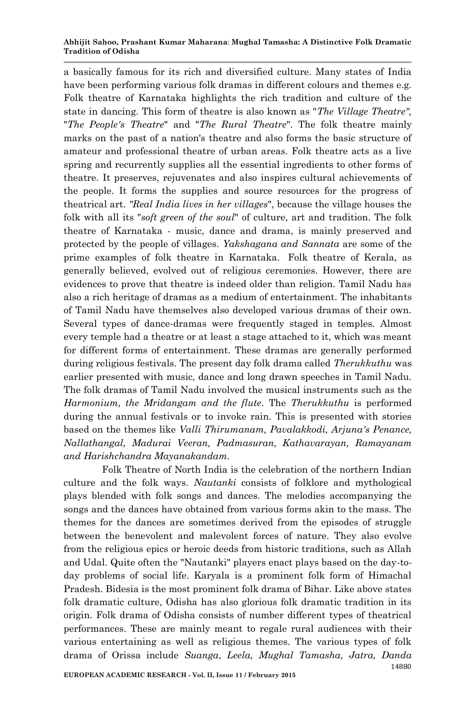#### **Abhijit Sahoo, Prashant Kumar Maharana**: **Mughal Tamasha: A Distinctive Folk Dramatic Tradition of Odisha**

a basically famous for its rich and diversified culture. Many states of India have been performing various folk dramas in different colours and themes e.g. Folk theatre of Karnataka highlights the rich tradition and culture of the state in dancing. This form of theatre is also known as "*The Village Theatre",* "*The People's Theatre*" and "*The Rural Theatre*". The folk theatre mainly marks on the past of a nation's theatre and also forms the basic structure of amateur and professional theatre of urban areas. Folk theatre acts as a live spring and recurrently supplies all the essential ingredients to other forms of theatre. It preserves, rejuvenates and also inspires cultural achievements of the people. It forms the supplies and source resources for the progress of theatrical art. *"Real India lives in her villages*", because the village houses the folk with all its "*soft green of the soul*" of culture, art and tradition. The folk theatre of Karnataka - music, dance and drama, is mainly preserved and protected by the people of villages. *Yakshagana and Sannata* are some of the prime examples of folk theatre in Karnataka. Folk theatre of Kerala, as generally believed, evolved out of religious ceremonies. However, there are evidences to prove that theatre is indeed older than religion. Tamil Nadu has also a rich heritage of dramas as a medium of entertainment. The inhabitants of Tamil Nadu have themselves also developed various dramas of their own. Several types of dance-dramas were frequently staged in temples. Almost every temple had a theatre or at least a stage attached to it, which was meant for different forms of entertainment. These dramas are generally performed during religious festivals. The present day folk drama called *Therukkuthu* was earlier presented with music, dance and long drawn speeches in Tamil Nadu. The folk dramas of Tamil Nadu involved the musical instruments such as the *Harmonium, the Mridangam and the flute*. The *Therukkuthu* is performed during the annual festivals or to invoke rain. This is presented with stories based on the themes like *Valli Thirumanam, Pavalakkodi, Arjuna's Penance, Nallathangal, Madurai Veeran, Padmasuran, Kathavarayan, Ramayanam and Harishchandra Mayanakandam.*

Folk Theatre of North India is the celebration of the northern Indian culture and the folk ways. *Nautanki* consists of folklore and mythological plays blended with folk songs and dances. The melodies accompanying the songs and the dances have obtained from various forms akin to the mass. The themes for the dances are sometimes derived from the episodes of struggle between the benevolent and malevolent forces of nature. They also evolve from the religious epics or heroic deeds from historic traditions, such as Allah and Udal. Quite often the "Nautanki" players enact plays based on the day-today problems of social life. Karyala is a prominent folk form of Himachal Pradesh. Bidesia is the most prominent folk drama of Bihar. Like above states folk dramatic culture, Odisha has also glorious folk dramatic tradition in its origin. Folk drama of Odisha consists of number different types of theatrical performances. These are mainly meant to regale rural audiences with their various entertaining as well as religious themes. The various types of folk drama of Orissa include *Suanga*, *Leela, Mughal Tamasha, Jatra, Danda*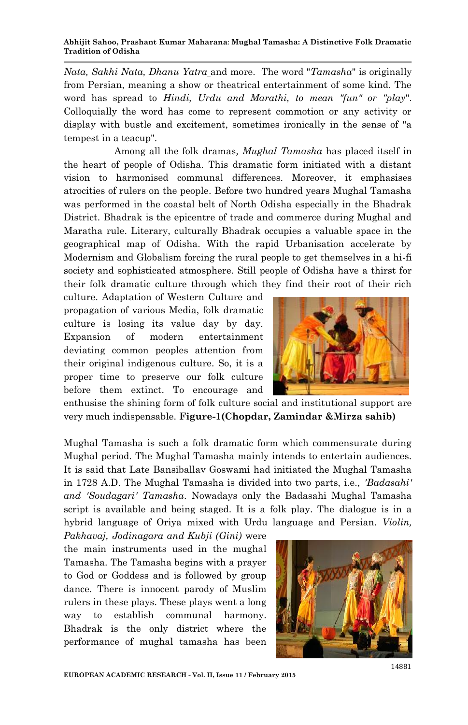#### **Abhijit Sahoo, Prashant Kumar Maharana**: **Mughal Tamasha: A Distinctive Folk Dramatic Tradition of Odisha**

*Nata, Sakhi Nata, Dhanu Yatra* and more. The word "*Tamasha*" is originally from Persian, meaning a show or theatrical entertainment of some kind. The word has spread to *Hindi, Urdu and Marathi, to mean "fun" or "play*". Colloquially the word has come to represent commotion or any activity or display with bustle and excitement, sometimes ironically in the sense of "a tempest in a teacup".

 Among all the folk dramas*, Mughal Tamasha* has placed itself in the heart of people of Odisha. This dramatic form initiated with a distant vision to harmonised communal differences. Moreover, it emphasises atrocities of rulers on the people. Before two hundred years Mughal Tamasha was performed in the coastal belt of North Odisha especially in the Bhadrak District. Bhadrak is the epicentre of trade and commerce during Mughal and Maratha rule. Literary, culturally Bhadrak occupies a valuable space in the geographical map of Odisha. With the rapid Urbanisation accelerate by Modernism and Globalism forcing the rural people to get themselves in a hi-fi society and sophisticated atmosphere. Still people of Odisha have a thirst for their folk dramatic culture through which they find their root of their rich

culture. Adaptation of Western Culture and propagation of various Media, folk dramatic culture is losing its value day by day. Expansion of modern entertainment deviating common peoples attention from their original indigenous culture. So, it is a proper time to preserve our folk culture before them extinct. To encourage and



enthusise the shining form of folk culture social and institutional support are very much indispensable. **Figure-1(Chopdar, Zamindar &Mirza sahib)**

Mughal Tamasha is such a folk dramatic form which commensurate during Mughal period. The Mughal Tamasha mainly intends to entertain audiences. It is said that Late Bansiballav Goswami had initiated the Mughal Tamasha in 1728 A.D. The Mughal Tamasha is divided into two parts, i.e., *'Badasahi' and 'Soudagari' Tamasha*. Nowadays only the Badasahi Mughal Tamasha script is available and being staged. It is a folk play. The dialogue is in a hybrid language of Oriya mixed with Urdu language and Persian. *Violin,* 

*Pakhavaj, Jodinagara and Kubji (Gini)* were the main instruments used in the mughal Tamasha. The Tamasha begins with a prayer to God or Goddess and is followed by group dance. There is innocent parody of Muslim rulers in these plays. These plays went a long way to establish communal harmony. Bhadrak is the only district where the performance of mughal tamasha has been

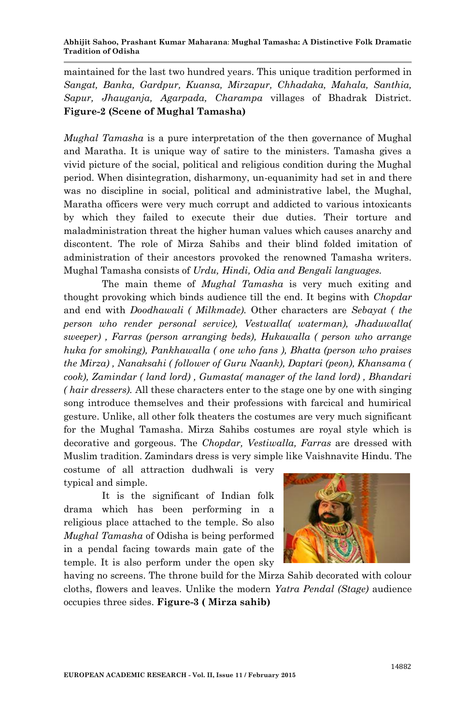maintained for the last two hundred years. This unique tradition performed in *Sangat, Banka, Gardpur, Kuansa, Mirzapur, Chhadaka, Mahala, Santhia, Sapur, Jhauganja, Agarpada, Charampa* villages of Bhadrak District. **Figure-2 (Scene of Mughal Tamasha)**

*Mughal Tamasha* is a pure interpretation of the then governance of Mughal and Maratha. It is unique way of satire to the ministers. Tamasha gives a vivid picture of the social, political and religious condition during the Mughal period. When disintegration, disharmony, un-equanimity had set in and there was no discipline in social, political and administrative label, the Mughal, Maratha officers were very much corrupt and addicted to various intoxicants by which they failed to execute their due duties. Their torture and maladministration threat the higher human values which causes anarchy and discontent. The role of Mirza Sahibs and their blind folded imitation of administration of their ancestors provoked the renowned Tamasha writers. Mughal Tamasha consists of *Urdu, Hindi, Odia and Bengali languages.* 

The main theme of *Mughal Tamasha* is very much exiting and thought provoking which binds audience till the end. It begins with *Chopdar* and end with *Doodhawali ( Milkmade).* Other characters are *Sebayat ( the person who render personal service), Vestwalla( waterman), Jhaduwalla( sweeper) , Farras (person arranging beds), Hukawalla ( person who arrange huka for smoking), Pankhawalla ( one who fans ), Bhatta (person who praises the Mirza) , Nanaksahi ( follower of Guru Naank), Daptari (peon), Khansama ( cook), Zamindar ( land lord) , Gumasta( manager of the land lord) , Bhandari ( hair dressers).* All these characters enter to the stage one by one with singing song introduce themselves and their professions with farcical and humirical gesture. Unlike, all other folk theaters the costumes are very much significant for the Mughal Tamasha. Mirza Sahibs costumes are royal style which is decorative and gorgeous. The *Chopdar, Vestiwalla, Farras* are dressed with Muslim tradition. Zamindars dress is very simple like Vaishnavite Hindu. The

costume of all attraction dudhwali is very typical and simple.

It is the significant of Indian folk drama which has been performing in a religious place attached to the temple. So also *Mughal Tamasha* of Odisha is being performed in a pendal facing towards main gate of the temple. It is also perform under the open sky



having no screens. The throne build for the Mirza Sahib decorated with colour cloths, flowers and leaves. Unlike the modern *Yatra Pendal (Stage)* audience occupies three sides. **Figure-3 ( Mirza sahib)**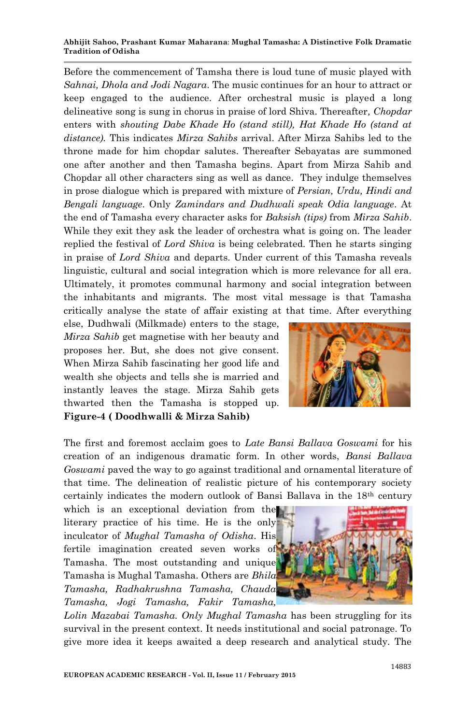#### **Abhijit Sahoo, Prashant Kumar Maharana**: **Mughal Tamasha: A Distinctive Folk Dramatic Tradition of Odisha**

Before the commencement of Tamsha there is loud tune of music played with *Sahnai, Dhola and Jodi Nagara*. The music continues for an hour to attract or keep engaged to the audience. After orchestral music is played a long delineative song is sung in chorus in praise of lord Shiva. Thereafter*, Chopdar* enters with *shouting Dabe Khade Ho (stand still), Hat Khade Ho (stand at distance).* This indicates *Mirza Sahibs* arrival. After Mirza Sahibs led to the throne made for him chopdar salutes. Thereafter Sebayatas are summoned one after another and then Tamasha begins. Apart from Mirza Sahib and Chopdar all other characters sing as well as dance. They indulge themselves in prose dialogue which is prepared with mixture of *Persian, Urdu, Hindi and Bengali language*. Only *Zamindars and Dudhwali speak Odia language*. At the end of Tamasha every character asks for *Baksish (tips)* from *Mirza Sahib*. While they exit they ask the leader of orchestra what is going on. The leader replied the festival of *Lord Shiva* is being celebrated. Then he starts singing in praise of *Lord Shiva* and departs. Under current of this Tamasha reveals linguistic, cultural and social integration which is more relevance for all era. Ultimately, it promotes communal harmony and social integration between the inhabitants and migrants. The most vital message is that Tamasha critically analyse the state of affair existing at that time. After everything

else, Dudhwali (Milkmade) enters to the stage, *Mirza Sahib* get magnetise with her beauty and proposes her. But, she does not give consent. When Mirza Sahib fascinating her good life and wealth she objects and tells she is married and instantly leaves the stage. Mirza Sahib gets thwarted then the Tamasha is stopped up. **Figure-4 ( Doodhwalli & Mirza Sahib)**



The first and foremost acclaim goes to *Late Bansi Ballava Goswami* for his creation of an indigenous dramatic form. In other words, *Bansi Ballava Goswami* paved the way to go against traditional and ornamental literature of that time. The delineation of realistic picture of his contemporary society certainly indicates the modern outlook of Bansi Ballava in the 18th century

which is an exceptional deviation from the literary practice of his time. He is the only inculcator of *Mughal Tamasha of Odisha*. His fertile imagination created seven works of Tamasha. The most outstanding and unique Tamasha is Mughal Tamasha. Others are *Bhila Tamasha, Radhakrushna Tamasha, Chauda Tamasha, Jogi Tamasha, Fakir Tamasha,* 

*Lolin Mazabai Tamasha. Only Mughal Tamasha* has been struggling for its survival in the present context. It needs institutional and social patronage. To give more idea it keeps awaited a deep research and analytical study. The